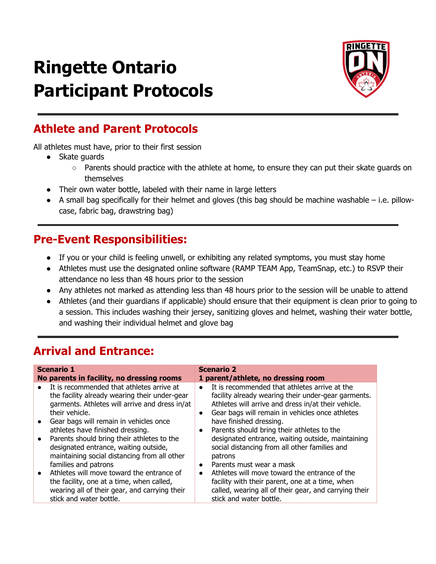# **Ringette Ontario Participant Protocols**



#### **Athlete and Parent Protocols**

All athletes must have, prior to their first session

- Skate guards
	- Parents should practice with the athlete at home, to ensure they can put their skate guards on themselves
- Their own water bottle, labeled with their name in large letters
- $\bullet$  A small bag specifically for their helmet and gloves (this bag should be machine washable i.e. pillowcase, fabric bag, drawstring bag)

#### **Pre-Event Responsibilities:**

- If you or your child is feeling unwell, or exhibiting any related symptoms, you must stay home
- Athletes must use the designated online software (RAMP TEAM App, TeamSnap, etc.) to RSVP their attendance no less than 48 hours prior to the session
- Any athletes not marked as attending less than 48 hours prior to the session will be unable to attend
- Athletes (and their guardians if applicable) should ensure that their equipment is clean prior to going to a session. This includes washing their jersey, sanitizing gloves and helmet, washing their water bottle, and washing their individual helmet and glove bag

### **Arrival and Entrance:**

| <b>Scenario 1</b>                                                                                                                                                                                                                                                                                                                                                                                                                                                                                                                                                                                           | <b>Scenario 2</b>                                                                                                                                                                                                                                                                                                                                                                                                                                                                                                                                                                                                                                                                             |
|-------------------------------------------------------------------------------------------------------------------------------------------------------------------------------------------------------------------------------------------------------------------------------------------------------------------------------------------------------------------------------------------------------------------------------------------------------------------------------------------------------------------------------------------------------------------------------------------------------------|-----------------------------------------------------------------------------------------------------------------------------------------------------------------------------------------------------------------------------------------------------------------------------------------------------------------------------------------------------------------------------------------------------------------------------------------------------------------------------------------------------------------------------------------------------------------------------------------------------------------------------------------------------------------------------------------------|
| No parents in facility, no dressing rooms                                                                                                                                                                                                                                                                                                                                                                                                                                                                                                                                                                   | 1 parent/athlete, no dressing room                                                                                                                                                                                                                                                                                                                                                                                                                                                                                                                                                                                                                                                            |
| It is recommended that athletes arrive at<br>$\bullet$<br>the facility already wearing their under-gear<br>garments. Athletes will arrive and dress in/at<br>their vehicle.<br>Gear bags will remain in vehicles once<br>$\bullet$<br>athletes have finished dressing.<br>Parents should bring their athletes to the<br>designated entrance, waiting outside,<br>maintaining social distancing from all other<br>families and patrons<br>Athletes will move toward the entrance of<br>the facility, one at a time, when called,<br>wearing all of their gear, and carrying their<br>stick and water bottle. | It is recommended that athletes arrive at the<br>$\bullet$<br>facility already wearing their under-gear garments.<br>Athletes will arrive and dress in/at their vehicle.<br>Gear bags will remain in vehicles once athletes<br>$\bullet$<br>have finished dressing.<br>Parents should bring their athletes to the<br>$\bullet$<br>designated entrance, waiting outside, maintaining<br>social distancing from all other families and<br>patrons<br>Parents must wear a mask<br>$\bullet$<br>Athletes will move toward the entrance of the<br>$\bullet$<br>facility with their parent, one at a time, when<br>called, wearing all of their gear, and carrying their<br>stick and water bottle. |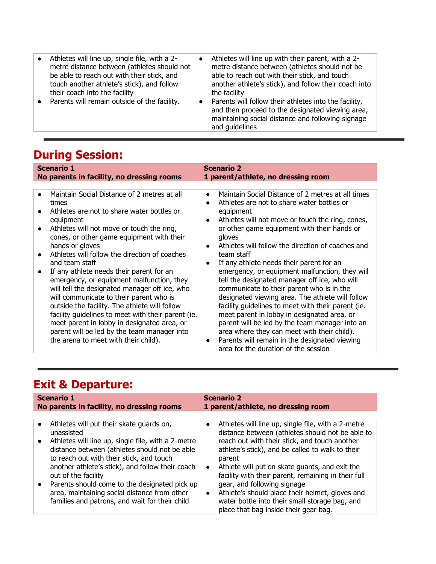| Athletes will line up with their parent, with a 2-                                                                                                                                                                                                                                                                                         |
|--------------------------------------------------------------------------------------------------------------------------------------------------------------------------------------------------------------------------------------------------------------------------------------------------------------------------------------------|
| metre distance between (athletes should not be<br>able to reach out with their stick, and touch<br>another athlete's stick), and follow their coach into<br>the facility<br>Parents will follow their athletes into the facility,<br>and then proceed to the designated viewing area,<br>maintaining social distance and following signage |
| and quidelines                                                                                                                                                                                                                                                                                                                             |
|                                                                                                                                                                                                                                                                                                                                            |

# **During Session:**

| <b>Scenario 1</b><br>No parents in facility, no dressing rooms                                                                                                                                                                                                                                                                                                                                                                                                                                                                                                                                                                                                                                                                                                           | <b>Scenario 2</b><br>1 parent/athlete, no dressing room                                                                                                                                                                                                                                                                                                                                                                                                                                                                                                                                                                                                                                                                                                                                                                                                                                                      |  |  |
|--------------------------------------------------------------------------------------------------------------------------------------------------------------------------------------------------------------------------------------------------------------------------------------------------------------------------------------------------------------------------------------------------------------------------------------------------------------------------------------------------------------------------------------------------------------------------------------------------------------------------------------------------------------------------------------------------------------------------------------------------------------------------|--------------------------------------------------------------------------------------------------------------------------------------------------------------------------------------------------------------------------------------------------------------------------------------------------------------------------------------------------------------------------------------------------------------------------------------------------------------------------------------------------------------------------------------------------------------------------------------------------------------------------------------------------------------------------------------------------------------------------------------------------------------------------------------------------------------------------------------------------------------------------------------------------------------|--|--|
|                                                                                                                                                                                                                                                                                                                                                                                                                                                                                                                                                                                                                                                                                                                                                                          |                                                                                                                                                                                                                                                                                                                                                                                                                                                                                                                                                                                                                                                                                                                                                                                                                                                                                                              |  |  |
| Maintain Social Distance of 2 metres at all<br>$\bullet$<br>times<br>Athletes are not to share water bottles or<br>equipment<br>Athletes will not move or touch the ring,<br>$\bullet$<br>cones, or other game equipment with their<br>hands or gloves<br>Athletes will follow the direction of coaches<br>and team staff<br>If any athlete needs their parent for an<br>$\bullet$<br>emergency, or equipment malfunction, they<br>will tell the designated manager off ice, who<br>will communicate to their parent who is<br>outside the facility. The athlete will follow<br>facility guidelines to meet with their parent (ie.<br>meet parent in lobby in designated area, or<br>parent will be led by the team manager into<br>the arena to meet with their child). | Maintain Social Distance of 2 metres at all times<br>$\bullet$<br>Athletes are not to share water bottles or<br>$\bullet$<br>equipment<br>Athletes will not move or touch the ring, cones,<br>$\bullet$<br>or other game equipment with their hands or<br>gloves<br>Athletes will follow the direction of coaches and<br>$\bullet$<br>team staff<br>If any athlete needs their parent for an<br>$\bullet$<br>emergency, or equipment malfunction, they will<br>tell the designated manager off ice, who will<br>communicate to their parent who is in the<br>designated viewing area. The athlete will follow<br>facility guidelines to meet with their parent (ie.<br>meet parent in lobby in designated area, or<br>parent will be led by the team manager into an<br>area where they can meet with their child).<br>Parents will remain in the designated viewing<br>area for the duration of the session |  |  |

## **Exit & Departure:**

| <b>Scenario 1</b>                                                                                                                                                                                                                                                                                                                                                                                                                                                 | <b>Scenario 2</b>                                                                                                                                                                                                                                                                                                                                                                                                                                                                                                                                  |
|-------------------------------------------------------------------------------------------------------------------------------------------------------------------------------------------------------------------------------------------------------------------------------------------------------------------------------------------------------------------------------------------------------------------------------------------------------------------|----------------------------------------------------------------------------------------------------------------------------------------------------------------------------------------------------------------------------------------------------------------------------------------------------------------------------------------------------------------------------------------------------------------------------------------------------------------------------------------------------------------------------------------------------|
| No parents in facility, no dressing rooms                                                                                                                                                                                                                                                                                                                                                                                                                         | 1 parent/athlete, no dressing room                                                                                                                                                                                                                                                                                                                                                                                                                                                                                                                 |
| Athletes will put their skate guards on,<br>$\bullet$<br>unassisted<br>Athletes will line up, single file, with a 2-metre<br>$\bullet$<br>distance between (athletes should not be able<br>to reach out with their stick, and touch<br>another athlete's stick), and follow their coach<br>out of the facility<br>Parents should come to the designated pick up<br>area, maintaining social distance from other<br>families and patrons, and wait for their child | Athletes will line up, single file, with a 2-metre<br>$\bullet$<br>distance between (athletes should not be able to<br>reach out with their stick, and touch another<br>athlete's stick), and be called to walk to their<br>parent<br>Athlete will put on skate guards, and exit the<br>$\bullet$<br>facility with their parent, remaining in their full<br>gear, and following signage<br>Athlete's should place their helmet, gloves and<br>$\bullet$<br>water bottle into their small storage bag, and<br>place that bag inside their gear bag. |